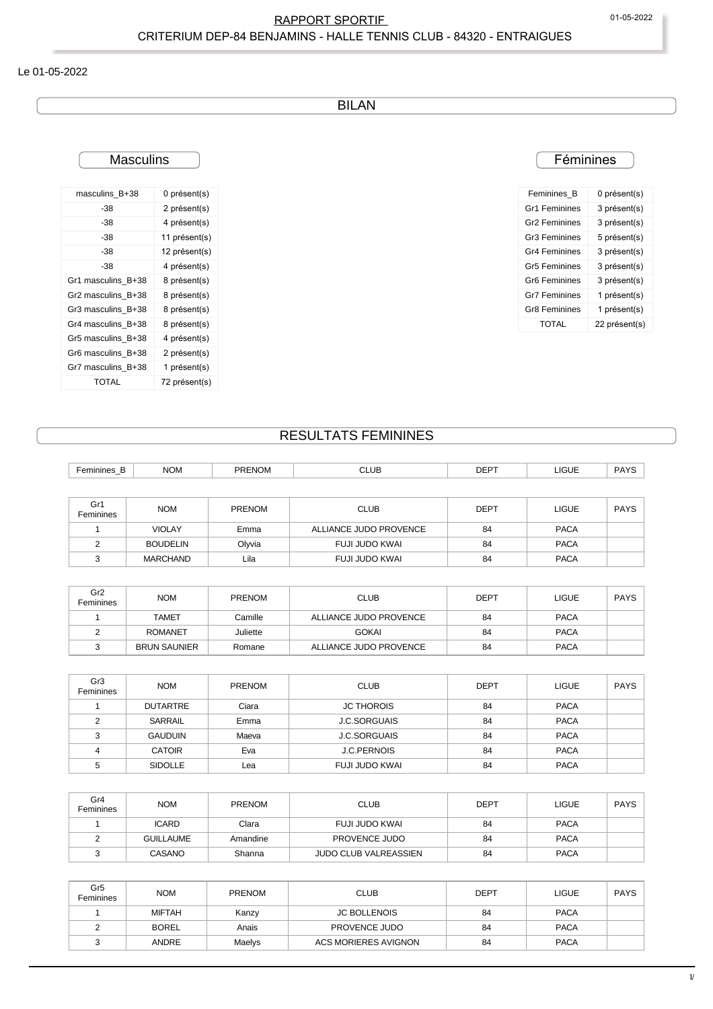#### Le 01-05-2022

BILAN

## **Masculins**

| masculins B+38     | 0 présent(s)  |
|--------------------|---------------|
| -38                | 2 présent(s)  |
| -38                | 4 présent(s)  |
| -38                | 11 présent(s) |
| -38                | 12 présent(s) |
| -38                | 4 présent(s)  |
| Gr1 masculins B+38 | 8 présent(s)  |
| Gr2 masculins B+38 | 8 présent(s)  |
| Gr3 masculins B+38 | 8 présent(s)  |
| Gr4 masculins B+38 | 8 présent(s)  |
| Gr5 masculins B+38 | 4 présent(s)  |
| Gr6 masculins B+38 | 2 présent(s)  |
| Gr7 masculins B+38 | 1 présent(s)  |
| TOTAL              | 72 présent(s) |

## **Féminines**

| Feminines B               | 0 présent(s)  |
|---------------------------|---------------|
| <b>Gr1 Feminines</b>      | 3 présent(s)  |
| <b>Gr2 Feminines</b>      | 3 présent(s)  |
| <b>Gr3 Feminines</b>      | 5 présent(s)  |
| <b>Gr4 Feminines</b>      | 3 présent(s)  |
| <b>Gr5 Feminines</b>      | 3 présent(s)  |
| Gr <sub>6</sub> Feminines | 3 présent(s)  |
| <b>Gr7 Feminines</b>      | 1 présent(s)  |
| <b>Gr8 Feminines</b>      | 1 présent(s)  |
| TOTAI                     | 22 présent(s) |
|                           |               |

#### RESULTATS FEMININES

| Feminines B                  | <b>NOM</b>          | <b>PRENOM</b> | <b>CLUB</b>            | <b>DEPT</b> | <b>LIGUE</b> | <b>PAYS</b> |
|------------------------------|---------------------|---------------|------------------------|-------------|--------------|-------------|
|                              |                     |               |                        |             |              |             |
| Gr1<br>Feminines             | <b>NOM</b>          | <b>PRENOM</b> | <b>CLUB</b>            | <b>DEPT</b> | <b>LIGUE</b> | <b>PAYS</b> |
| $\mathbf{1}$                 | <b>VIOLAY</b>       | Emma          | ALLIANCE JUDO PROVENCE | 84          | <b>PACA</b>  |             |
| 2                            | <b>BOUDELIN</b>     | Olyvia        | <b>FUJI JUDO KWAI</b>  | 84          | <b>PACA</b>  |             |
| 3                            | <b>MARCHAND</b>     | Lila          | <b>FUJI JUDO KWAI</b>  | 84          | <b>PACA</b>  |             |
|                              |                     |               |                        |             |              |             |
| Gr <sub>2</sub><br>Feminines | <b>NOM</b>          | <b>PRENOM</b> | <b>CLUB</b>            | <b>DEPT</b> | <b>LIGUE</b> | <b>PAYS</b> |
| $\mathbf{1}$                 | <b>TAMET</b>        | Camille       | ALLIANCE JUDO PROVENCE | 84          | <b>PACA</b>  |             |
| $\overline{2}$               | <b>ROMANET</b>      | Juliette      | <b>GOKAI</b>           | 84          | <b>PACA</b>  |             |
| 3                            | <b>BRUN SAUNIER</b> | Romane        | ALLIANCE JUDO PROVENCE | 84          | <b>PACA</b>  |             |
|                              |                     |               |                        |             |              |             |
| Gr <sub>3</sub><br>Feminines | <b>NOM</b>          | <b>PRENOM</b> | <b>CLUB</b>            | <b>DEPT</b> | <b>LIGUE</b> | <b>PAYS</b> |
| $\mathbf{1}$                 | <b>DUTARTRE</b>     | Ciara         | <b>JC THOROIS</b>      | 84          | <b>PACA</b>  |             |
| $\overline{2}$               | <b>SARRAIL</b>      | Emma          | <b>J.C.SORGUAIS</b>    | 84          | <b>PACA</b>  |             |
| 3                            | <b>GAUDUIN</b>      | Maeva         | <b>J.C.SORGUAIS</b>    | 84          | <b>PACA</b>  |             |
| 4                            | <b>CATOIR</b>       | Eva           | <b>J.C.PERNOIS</b>     | 84          | <b>PACA</b>  |             |
| 5                            | SIDOLLE             | Lea           | <b>FUJI JUDO KWAI</b>  | 84          | <b>PACA</b>  |             |
|                              |                     |               |                        |             |              |             |
| Gr4<br>Feminines             | <b>NOM</b>          | <b>PRENOM</b> | <b>CLUB</b>            | <b>DEPT</b> | <b>LIGUE</b> | <b>PAYS</b> |
| $\mathbf{1}$                 | <b>ICARD</b>        | Clara         | FUJI JUDO KWAI         | 84          | <b>PACA</b>  |             |
| $\overline{2}$               | <b>GUILLAUME</b>    | Amandine      | PROVENCE JUDO          | 84          | <b>PACA</b>  |             |
| 3                            | CASANO              | Shanna        | JUDO CLUB VALREASSIEN  | 84          | <b>PACA</b>  |             |

| Gr <sub>5</sub><br>Feminines | <b>NOM</b>    | <b>PRENOM</b> | <b>CLUB</b>          | <b>DEPT</b> | <b>LIGUE</b> | <b>PAYS</b> |
|------------------------------|---------------|---------------|----------------------|-------------|--------------|-------------|
|                              | <b>MIFTAH</b> | Kanzy         | <b>JC BOLLENOIS</b>  | 84          | <b>PACA</b>  |             |
|                              | <b>BOREL</b>  | Anais         | PROVENCE JUDO        | 84          | <b>PACA</b>  |             |
|                              | <b>ANDRE</b>  | Maelys        | ACS MORIERES AVIGNON | 84          | <b>PACA</b>  |             |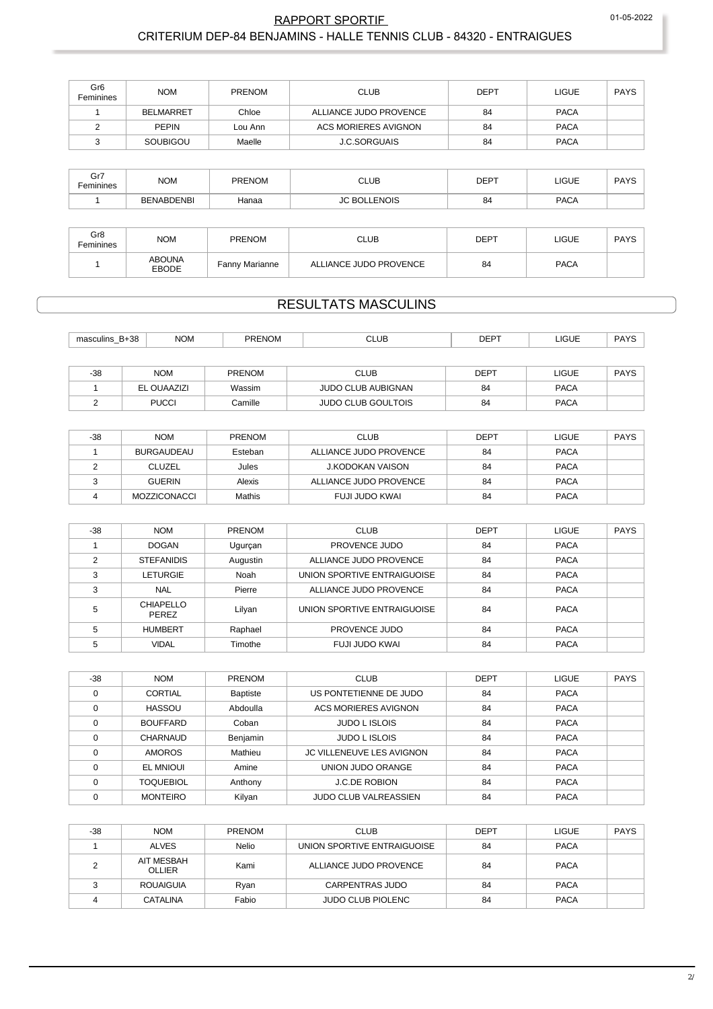| Gr <sub>6</sub><br>Feminines | <b>NOM</b>       | <b>PRENOM</b> | <b>CLUB</b>            | <b>DEPT</b> | <b>LIGUE</b> | PAYS |
|------------------------------|------------------|---------------|------------------------|-------------|--------------|------|
|                              | <b>BELMARRET</b> | Chloe         | ALLIANCE JUDO PROVENCE | 84          | <b>PACA</b>  |      |
|                              | <b>PEPIN</b>     | Lou Ann       | ACS MORIERES AVIGNON   | 84          | <b>PACA</b>  |      |
|                              | SOUBIGOU         | Maelle        | <b>J.C.SORGUAIS</b>    | 84          | <b>PACA</b>  |      |

| Gr7<br>Feminines | <b>NOM</b>        | <b>PRENOM</b> | CLUB<br>---- | DEF<br><u>--</u> | LIGUE | DAVO<br>$\sim$ |
|------------------|-------------------|---------------|--------------|------------------|-------|----------------|
|                  | <b>BENABDENBI</b> | Hanaa         | <b>ENOIS</b> | 84               | PACA  |                |

| Gr8<br>Feminines | <b>NOM</b>             | <b>PRENOM</b>  | CLUB                   | <b>DEPT</b> | <b>LIGUE</b> | <b>PAYS</b> |
|------------------|------------------------|----------------|------------------------|-------------|--------------|-------------|
|                  | <b>ABOUNA</b><br>EBODE | Fanny Marianne | ALLIANCE JUDO PROVENCE | 84          | <b>PACA</b>  |             |

# **RESULTATS MASCULINS**

| B+38<br>masculins<br>$-$ | <b>NOV</b> | PRENOM | <b>CLUB</b> | <b>DEPT</b> | <b>LIGUE</b> | DAVC |
|--------------------------|------------|--------|-------------|-------------|--------------|------|
|                          |            |        |             |             |              |      |

| $-38$ | <b>NOM</b>   | <b>PRENOM</b> | CLUB                      | DEPT | LIGUE       | <b>DAVS</b><br>טור |
|-------|--------------|---------------|---------------------------|------|-------------|--------------------|
|       | EL OUAAZIZI  | Wassim        | <b>JUDO CLUB AUBIGNAN</b> | 84   | <b>PACA</b> |                    |
|       | <b>PUCCI</b> | Camille       | <b>JUDO CLUB GOULTOIS</b> | 84   | <b>PACA</b> |                    |

| $-38$ | <b>NOM</b>          | <b>PRENOM</b> | <b>CLUB</b>            | <b>DEPT</b> | LIGUE       | <b>PAYS</b> |
|-------|---------------------|---------------|------------------------|-------------|-------------|-------------|
|       | <b>BURGAUDEAU</b>   | Esteban       | ALLIANCE JUDO PROVENCE | 84          | <b>PACA</b> |             |
|       | <b>CLUZEL</b>       | Jules         | J.KODOKAN VAISON       | 84          | <b>PACA</b> |             |
|       | <b>GUERIN</b>       | Alexis        | ALLIANCE JUDO PROVENCE | 84          | <b>PACA</b> |             |
|       | <b>MOZZICONACCI</b> | Mathis        | FUJI JUDO KWAI         | 84          | <b>PACA</b> |             |

| $-38$ | <b>NOM</b>                | <b>PRENOM</b> | <b>CLUB</b>                 | <b>DEPT</b> | <b>LIGUE</b> | <b>PAYS</b> |
|-------|---------------------------|---------------|-----------------------------|-------------|--------------|-------------|
|       | <b>DOGAN</b>              | Ugurçan       | PROVENCE JUDO               | 84          | <b>PACA</b>  |             |
| ⌒     | <b>STEFANIDIS</b>         | Augustin      | ALLIANCE JUDO PROVENCE      | 84          | <b>PACA</b>  |             |
| 3     | LETURGIE                  | Noah          | UNION SPORTIVE ENTRAIGUOISE | 84          | <b>PACA</b>  |             |
| 3     | <b>NAL</b>                | Pierre        | ALLIANCE JUDO PROVENCE      | 84          | <b>PACA</b>  |             |
| 5     | CHIAPELLO<br><b>PEREZ</b> | Lilyan        | UNION SPORTIVE ENTRAIGUOISE | 84          | <b>PACA</b>  |             |
| 5     | <b>HUMBERT</b>            | Raphael       | PROVENCE JUDO               | 84          | <b>PACA</b>  |             |
| 5     | <b>VIDAL</b>              | Timothe       | FUJI JUDO KWAL              | 84          | <b>PACA</b>  |             |

| $-38$    | <b>NOM</b>       | <b>PRENOM</b>   | <b>CLUB</b>                  | <b>DEPT</b> | <b>LIGUE</b> | <b>PAYS</b> |
|----------|------------------|-----------------|------------------------------|-------------|--------------|-------------|
| $\Omega$ | <b>CORTIAL</b>   | <b>Baptiste</b> | US PONTETIENNE DE JUDO       | 84          | <b>PACA</b>  |             |
| $\Omega$ | <b>HASSOU</b>    | Abdoulla        | ACS MORIERES AVIGNON         | 84          | <b>PACA</b>  |             |
|          | <b>BOUFFARD</b>  | Coban           | <b>JUDO L ISLOIS</b>         | 84          | <b>PACA</b>  |             |
| $\Omega$ | CHARNAUD         | Benjamin        | <b>JUDO L ISLOIS</b>         | 84          | <b>PACA</b>  |             |
|          | <b>AMOROS</b>    | Mathieu         | JC VILLENEUVE LES AVIGNON    | 84          | <b>PACA</b>  |             |
|          | <b>EL MNIOUI</b> | Amine           | UNION JUDO ORANGE            | 84          | <b>PACA</b>  |             |
|          | <b>TOQUEBIOL</b> | Anthony         | <b>J.C.DE ROBION</b>         | 84          | <b>PACA</b>  |             |
|          | <b>MONTEIRO</b>  | Kilyan          | <b>JUDO CLUB VALREASSIEN</b> | 84          | <b>PACA</b>  |             |

| -38 | <b>NOM</b>           | <b>PRENOM</b> | <b>CLUB</b>                 | <b>DEPT</b> | <b>LIGUE</b> | PAYS |
|-----|----------------------|---------------|-----------------------------|-------------|--------------|------|
|     | <b>ALVES</b>         | Nelio         | UNION SPORTIVE ENTRAIGUOISE | 84          | <b>PACA</b>  |      |
|     | AIT MESBAH<br>OLLIER | Kami          | ALLIANCE JUDO PROVENCE      | 84          | <b>PACA</b>  |      |
|     | <b>ROUAIGUIA</b>     | Rvan          | CARPENTRAS JUDO             | 84          | <b>PACA</b>  |      |
|     | CATALINA             | Fabio         | <b>JUDO CLUB PIOLENC</b>    | 84          | <b>PACA</b>  |      |

01-05-2022